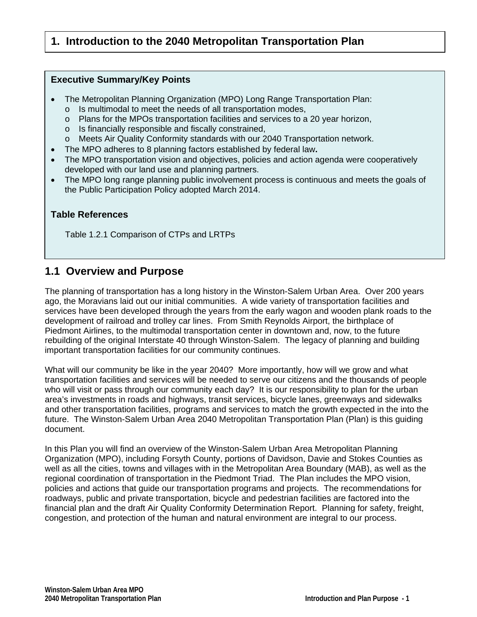# **1. Introduction to the 2040 Metropolitan Transportation Plan**

#### **Executive Summary/Key Points**

- The Metropolitan Planning Organization (MPO) Long Range Transportation Plan:
	- o Is multimodal to meet the needs of all transportation modes,
	- o Plans for the MPOs transportation facilities and services to a 20 year horizon,
	- o Is financially responsible and fiscally constrained,
	- o Meets Air Quality Conformity standards with our 2040 Transportation network.
- The MPO adheres to 8 planning factors established by federal law**.**
- The MPO transportation vision and objectives, policies and action agenda were cooperatively developed with our land use and planning partners.
- The MPO long range planning public involvement process is continuous and meets the goals of the Public Participation Policy adopted March 2014.

# **Table References**

Table 1.2.1 Comparison of CTPs and LRTPs

# **1.1 Overview and Purpose**

The planning of transportation has a long history in the Winston-Salem Urban Area. Over 200 years ago, the Moravians laid out our initial communities. A wide variety of transportation facilities and services have been developed through the years from the early wagon and wooden plank roads to the development of railroad and trolley car lines. From Smith Reynolds Airport, the birthplace of Piedmont Airlines, to the multimodal transportation center in downtown and, now, to the future rebuilding of the original Interstate 40 through Winston-Salem. The legacy of planning and building important transportation facilities for our community continues.

What will our community be like in the year 2040? More importantly, how will we grow and what transportation facilities and services will be needed to serve our citizens and the thousands of people who will visit or pass through our community each day? It is our responsibility to plan for the urban area's investments in roads and highways, transit services, bicycle lanes, greenways and sidewalks and other transportation facilities, programs and services to match the growth expected in the into the future. The Winston-Salem Urban Area 2040 Metropolitan Transportation Plan (Plan) is this guiding document.

In this Plan you will find an overview of the Winston-Salem Urban Area Metropolitan Planning Organization (MPO), including Forsyth County, portions of Davidson, Davie and Stokes Counties as well as all the cities, towns and villages with in the Metropolitan Area Boundary (MAB), as well as the regional coordination of transportation in the Piedmont Triad. The Plan includes the MPO vision, policies and actions that guide our transportation programs and projects. The recommendations for roadways, public and private transportation, bicycle and pedestrian facilities are factored into the financial plan and the draft Air Quality Conformity Determination Report. Planning for safety, freight, congestion, and protection of the human and natural environment are integral to our process.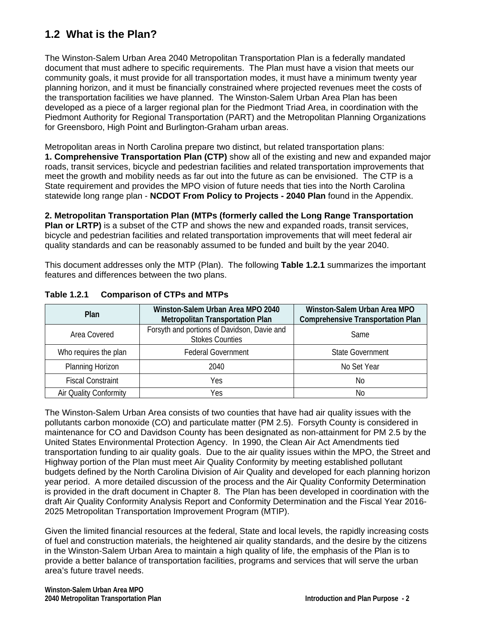# **1.2 What is the Plan?**

The Winston-Salem Urban Area 2040 Metropolitan Transportation Plan is a federally mandated document that must adhere to specific requirements. The Plan must have a vision that meets our community goals, it must provide for all transportation modes, it must have a minimum twenty year planning horizon, and it must be financially constrained where projected revenues meet the costs of the transportation facilities we have planned. The Winston-Salem Urban Area Plan has been developed as a piece of a larger regional plan for the Piedmont Triad Area, in coordination with the Piedmont Authority for Regional Transportation (PART) and the Metropolitan Planning Organizations for Greensboro, High Point and Burlington-Graham urban areas.

Metropolitan areas in North Carolina prepare two distinct, but related transportation plans: **1. Comprehensive Transportation Plan (CTP)** show all of the existing and new and expanded major roads, transit services, bicycle and pedestrian facilities and related transportation improvements that meet the growth and mobility needs as far out into the future as can be envisioned. The CTP is a State requirement and provides the MPO vision of future needs that ties into the North Carolina statewide long range plan - **NCDOT From Policy to Projects - 2040 Plan** found in the Appendix.

**2. Metropolitan Transportation Plan (MTPs (formerly called the Long Range Transportation Plan or LRTP)** is a subset of the CTP and shows the new and expanded roads, transit services, bicycle and pedestrian facilities and related transportation improvements that will meet federal air quality standards and can be reasonably assumed to be funded and built by the year 2040.

This document addresses only the MTP (Plan). The following **Table 1.2.1** summarizes the important features and differences between the two plans.

| <b>Plan</b>              | Winston-Salem Urban Area MPO 2040<br><b>Metropolitan Transportation Plan</b> | Winston-Salem Urban Area MPO<br><b>Comprehensive Transportation Plan</b> |
|--------------------------|------------------------------------------------------------------------------|--------------------------------------------------------------------------|
| Area Covered             | Forsyth and portions of Davidson, Davie and<br><b>Stokes Counties</b>        | Same                                                                     |
| Who requires the plan    | <b>Federal Government</b>                                                    | <b>State Government</b>                                                  |
| Planning Horizon         | 2040                                                                         | No Set Year                                                              |
| <b>Fiscal Constraint</b> | Yes                                                                          | No                                                                       |
| Air Quality Conformity   | Yes                                                                          | No                                                                       |

# **Table 1.2.1 Comparison of CTPs and MTPs**

The Winston-Salem Urban Area consists of two counties that have had air quality issues with the pollutants carbon monoxide (CO) and particulate matter (PM 2.5). Forsyth County is considered in maintenance for CO and Davidson County has been designated as non-attainment for PM 2.5 by the United States Environmental Protection Agency. In 1990, the Clean Air Act Amendments tied transportation funding to air quality goals. Due to the air quality issues within the MPO, the Street and Highway portion of the Plan must meet Air Quality Conformity by meeting established pollutant budgets defined by the North Carolina Division of Air Quality and developed for each planning horizon year period. A more detailed discussion of the process and the Air Quality Conformity Determination is provided in the draft document in Chapter 8. The Plan has been developed in coordination with the draft Air Quality Conformity Analysis Report and Conformity Determination and the Fiscal Year 2016- 2025 Metropolitan Transportation Improvement Program (MTIP).

Given the limited financial resources at the federal, State and local levels, the rapidly increasing costs of fuel and construction materials, the heightened air quality standards, and the desire by the citizens in the Winston-Salem Urban Area to maintain a high quality of life, the emphasis of the Plan is to provide a better balance of transportation facilities, programs and services that will serve the urban area's future travel needs.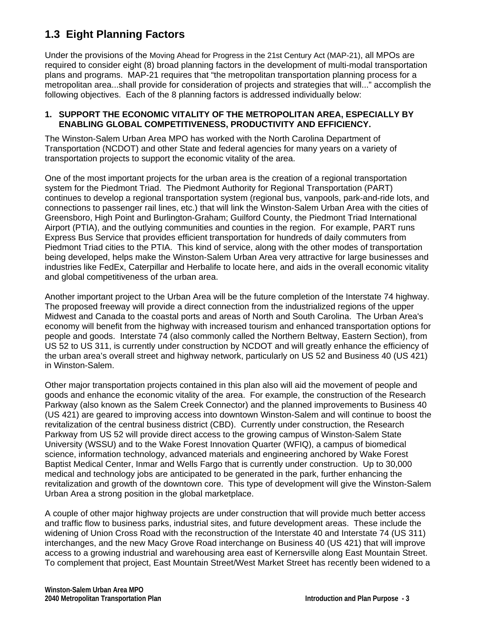# **1.3 Eight Planning Factors**

Under the provisions of the Moving Ahead for Progress in the 21st Century Act (MAP-21), all MPOs are required to consider eight (8) broad planning factors in the development of multi-modal transportation plans and programs. MAP-21 requires that "the metropolitan transportation planning process for a metropolitan area...shall provide for consideration of projects and strategies that will..." accomplish the following objectives. Each of the 8 planning factors is addressed individually below:

#### **1. SUPPORT THE ECONOMIC VITALITY OF THE METROPOLITAN AREA, ESPECIALLY BY ENABLING GLOBAL COMPETITIVENESS, PRODUCTIVITY AND EFFICIENCY.**

The Winston-Salem Urban Area MPO has worked with the North Carolina Department of Transportation (NCDOT) and other State and federal agencies for many years on a variety of transportation projects to support the economic vitality of the area.

One of the most important projects for the urban area is the creation of a regional transportation system for the Piedmont Triad. The Piedmont Authority for Regional Transportation (PART) continues to develop a regional transportation system (regional bus, vanpools, park-and-ride lots, and connections to passenger rail lines, etc.) that will link the Winston-Salem Urban Area with the cities of Greensboro, High Point and Burlington-Graham; Guilford County, the Piedmont Triad International Airport (PTIA), and the outlying communities and counties in the region. For example, PART runs Express Bus Service that provides efficient transportation for hundreds of daily commuters from Piedmont Triad cities to the PTIA. This kind of service, along with the other modes of transportation being developed, helps make the Winston-Salem Urban Area very attractive for large businesses and industries like FedEx, Caterpillar and Herbalife to locate here, and aids in the overall economic vitality and global competitiveness of the urban area.

Another important project to the Urban Area will be the future completion of the Interstate 74 highway. The proposed freeway will provide a direct connection from the industrialized regions of the upper Midwest and Canada to the coastal ports and areas of North and South Carolina. The Urban Area's economy will benefit from the highway with increased tourism and enhanced transportation options for people and goods. Interstate 74 (also commonly called the Northern Beltway, Eastern Section), from US 52 to US 311, is currently under construction by NCDOT and will greatly enhance the efficiency of the urban area's overall street and highway network, particularly on US 52 and Business 40 (US 421) in Winston-Salem.

Other major transportation projects contained in this plan also will aid the movement of people and goods and enhance the economic vitality of the area. For example, the construction of the Research Parkway (also known as the Salem Creek Connector) and the planned improvements to Business 40 (US 421) are geared to improving access into downtown Winston-Salem and will continue to boost the revitalization of the central business district (CBD). Currently under construction, the Research Parkway from US 52 will provide direct access to the growing campus of Winston-Salem State University (WSSU) and to the Wake Forest Innovation Quarter (WFIQ), a campus of biomedical science, information technology, advanced materials and engineering anchored by Wake Forest Baptist Medical Center, Inmar and Wells Fargo that is currently under construction. Up to 30,000 medical and technology jobs are anticipated to be generated in the park, further enhancing the revitalization and growth of the downtown core. This type of development will give the Winston-Salem Urban Area a strong position in the global marketplace.

A couple of other major highway projects are under construction that will provide much better access and traffic flow to business parks, industrial sites, and future development areas. These include the widening of Union Cross Road with the reconstruction of the Interstate 40 and Interstate 74 (US 311) interchanges, and the new Macy Grove Road interchange on Business 40 (US 421) that will improve access to a growing industrial and warehousing area east of Kernersville along East Mountain Street. To complement that project, East Mountain Street/West Market Street has recently been widened to a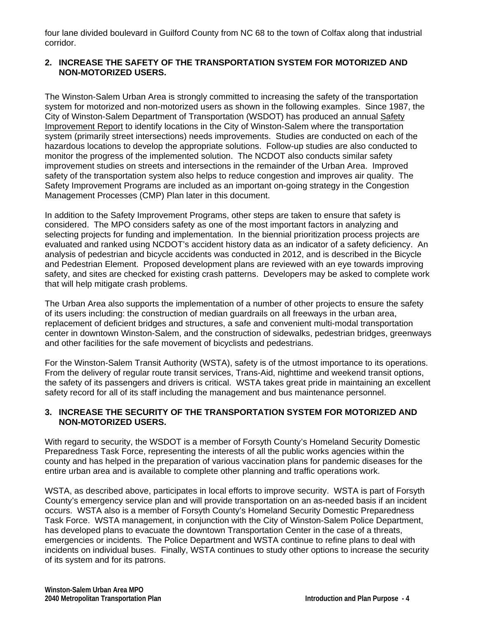four lane divided boulevard in Guilford County from NC 68 to the town of Colfax along that industrial corridor.

#### **2. INCREASE THE SAFETY OF THE TRANSPORTATION SYSTEM FOR MOTORIZED AND NON-MOTORIZED USERS.**

The Winston-Salem Urban Area is strongly committed to increasing the safety of the transportation system for motorized and non-motorized users as shown in the following examples. Since 1987, the City of Winston-Salem Department of Transportation (WSDOT) has produced an annual Safety Improvement Report to identify locations in the City of Winston-Salem where the transportation system (primarily street intersections) needs improvements. Studies are conducted on each of the hazardous locations to develop the appropriate solutions. Follow-up studies are also conducted to monitor the progress of the implemented solution. The NCDOT also conducts similar safety improvement studies on streets and intersections in the remainder of the Urban Area. Improved safety of the transportation system also helps to reduce congestion and improves air quality. The Safety Improvement Programs are included as an important on-going strategy in the Congestion Management Processes (CMP) Plan later in this document.

In addition to the Safety Improvement Programs, other steps are taken to ensure that safety is considered. The MPO considers safety as one of the most important factors in analyzing and selecting projects for funding and implementation. In the biennial prioritization process projects are evaluated and ranked using NCDOT's accident history data as an indicator of a safety deficiency. An analysis of pedestrian and bicycle accidents was conducted in 2012, and is described in the Bicycle and Pedestrian Element. Proposed development plans are reviewed with an eye towards improving safety, and sites are checked for existing crash patterns. Developers may be asked to complete work that will help mitigate crash problems.

The Urban Area also supports the implementation of a number of other projects to ensure the safety of its users including: the construction of median guardrails on all freeways in the urban area, replacement of deficient bridges and structures, a safe and convenient multi-modal transportation center in downtown Winston-Salem, and the construction of sidewalks, pedestrian bridges, greenways and other facilities for the safe movement of bicyclists and pedestrians.

For the Winston-Salem Transit Authority (WSTA), safety is of the utmost importance to its operations. From the delivery of regular route transit services, Trans-Aid, nighttime and weekend transit options, the safety of its passengers and drivers is critical. WSTA takes great pride in maintaining an excellent safety record for all of its staff including the management and bus maintenance personnel.

#### **3. INCREASE THE SECURITY OF THE TRANSPORTATION SYSTEM FOR MOTORIZED AND NON-MOTORIZED USERS.**

With regard to security, the WSDOT is a member of Forsyth County's Homeland Security Domestic Preparedness Task Force, representing the interests of all the public works agencies within the county and has helped in the preparation of various vaccination plans for pandemic diseases for the entire urban area and is available to complete other planning and traffic operations work.

WSTA, as described above, participates in local efforts to improve security. WSTA is part of Forsyth County's emergency service plan and will provide transportation on an as-needed basis if an incident occurs. WSTA also is a member of Forsyth County's Homeland Security Domestic Preparedness Task Force. WSTA management, in conjunction with the City of Winston-Salem Police Department, has developed plans to evacuate the downtown Transportation Center in the case of a threats, emergencies or incidents. The Police Department and WSTA continue to refine plans to deal with incidents on individual buses. Finally, WSTA continues to study other options to increase the security of its system and for its patrons.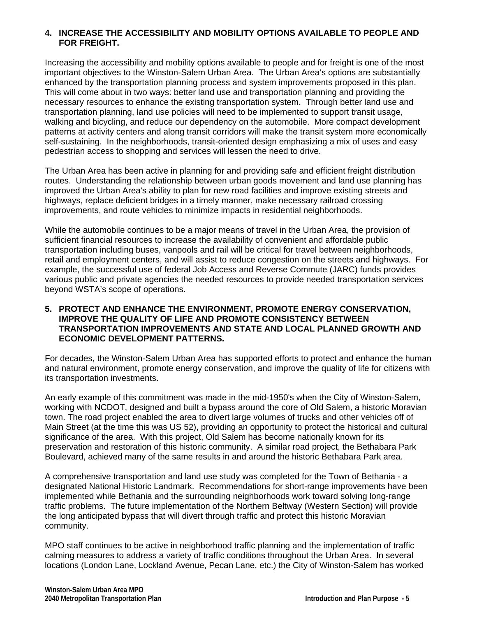#### **4. INCREASE THE ACCESSIBILITY AND MOBILITY OPTIONS AVAILABLE TO PEOPLE AND FOR FREIGHT.**

Increasing the accessibility and mobility options available to people and for freight is one of the most important objectives to the Winston-Salem Urban Area. The Urban Area's options are substantially enhanced by the transportation planning process and system improvements proposed in this plan. This will come about in two ways: better land use and transportation planning and providing the necessary resources to enhance the existing transportation system. Through better land use and transportation planning, land use policies will need to be implemented to support transit usage, walking and bicycling, and reduce our dependency on the automobile. More compact development patterns at activity centers and along transit corridors will make the transit system more economically self-sustaining. In the neighborhoods, transit-oriented design emphasizing a mix of uses and easy pedestrian access to shopping and services will lessen the need to drive.

The Urban Area has been active in planning for and providing safe and efficient freight distribution routes. Understanding the relationship between urban goods movement and land use planning has improved the Urban Area's ability to plan for new road facilities and improve existing streets and highways, replace deficient bridges in a timely manner, make necessary railroad crossing improvements, and route vehicles to minimize impacts in residential neighborhoods.

While the automobile continues to be a major means of travel in the Urban Area, the provision of sufficient financial resources to increase the availability of convenient and affordable public transportation including buses, vanpools and rail will be critical for travel between neighborhoods, retail and employment centers, and will assist to reduce congestion on the streets and highways. For example, the successful use of federal Job Access and Reverse Commute (JARC) funds provides various public and private agencies the needed resources to provide needed transportation services beyond WSTA's scope of operations.

#### **5. PROTECT AND ENHANCE THE ENVIRONMENT, PROMOTE ENERGY CONSERVATION, IMPROVE THE QUALITY OF LIFE AND PROMOTE CONSISTENCY BETWEEN TRANSPORTATION IMPROVEMENTS AND STATE AND LOCAL PLANNED GROWTH AND ECONOMIC DEVELOPMENT PATTERNS.**

For decades, the Winston-Salem Urban Area has supported efforts to protect and enhance the human and natural environment, promote energy conservation, and improve the quality of life for citizens with its transportation investments.

An early example of this commitment was made in the mid-1950's when the City of Winston-Salem, working with NCDOT, designed and built a bypass around the core of Old Salem, a historic Moravian town. The road project enabled the area to divert large volumes of trucks and other vehicles off of Main Street (at the time this was US 52), providing an opportunity to protect the historical and cultural significance of the area. With this project, Old Salem has become nationally known for its preservation and restoration of this historic community. A similar road project, the Bethabara Park Boulevard, achieved many of the same results in and around the historic Bethabara Park area.

A comprehensive transportation and land use study was completed for the Town of Bethania - a designated National Historic Landmark. Recommendations for short-range improvements have been implemented while Bethania and the surrounding neighborhoods work toward solving long-range traffic problems. The future implementation of the Northern Beltway (Western Section) will provide the long anticipated bypass that will divert through traffic and protect this historic Moravian community.

MPO staff continues to be active in neighborhood traffic planning and the implementation of traffic calming measures to address a variety of traffic conditions throughout the Urban Area. In several locations (London Lane, Lockland Avenue, Pecan Lane, etc.) the City of Winston-Salem has worked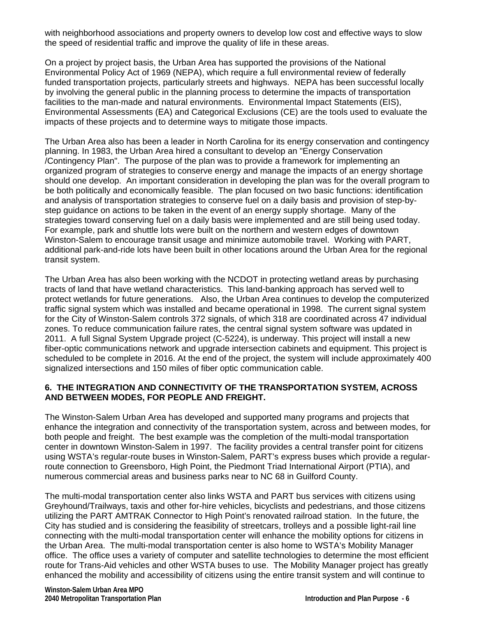with neighborhood associations and property owners to develop low cost and effective ways to slow the speed of residential traffic and improve the quality of life in these areas.

On a project by project basis, the Urban Area has supported the provisions of the National Environmental Policy Act of 1969 (NEPA), which require a full environmental review of federally funded transportation projects, particularly streets and highways. NEPA has been successful locally by involving the general public in the planning process to determine the impacts of transportation facilities to the man-made and natural environments. Environmental Impact Statements (EIS), Environmental Assessments (EA) and Categorical Exclusions (CE) are the tools used to evaluate the impacts of these projects and to determine ways to mitigate those impacts.

The Urban Area also has been a leader in North Carolina for its energy conservation and contingency planning. In 1983, the Urban Area hired a consultant to develop an "Energy Conservation /Contingency Plan". The purpose of the plan was to provide a framework for implementing an organized program of strategies to conserve energy and manage the impacts of an energy shortage should one develop. An important consideration in developing the plan was for the overall program to be both politically and economically feasible. The plan focused on two basic functions: identification and analysis of transportation strategies to conserve fuel on a daily basis and provision of step-bystep guidance on actions to be taken in the event of an energy supply shortage. Many of the strategies toward conserving fuel on a daily basis were implemented and are still being used today. For example, park and shuttle lots were built on the northern and western edges of downtown Winston-Salem to encourage transit usage and minimize automobile travel. Working with PART, additional park-and-ride lots have been built in other locations around the Urban Area for the regional transit system.

The Urban Area has also been working with the NCDOT in protecting wetland areas by purchasing tracts of land that have wetland characteristics. This land-banking approach has served well to protect wetlands for future generations. Also, the Urban Area continues to develop the computerized traffic signal system which was installed and became operational in 1998. The current signal system for the City of Winston-Salem controls 372 signals, of which 318 are coordinated across 47 individual zones. To reduce communication failure rates, the central signal system software was updated in 2011. A full Signal System Upgrade project (C-5224), is underway. This project will install a new fiber-optic communications network and upgrade intersection cabinets and equipment. This project is scheduled to be complete in 2016. At the end of the project, the system will include approximately 400 signalized intersections and 150 miles of fiber optic communication cable.

#### **6. THE INTEGRATION AND CONNECTIVITY OF THE TRANSPORTATION SYSTEM, ACROSS AND BETWEEN MODES, FOR PEOPLE AND FREIGHT.**

The Winston-Salem Urban Area has developed and supported many programs and projects that enhance the integration and connectivity of the transportation system, across and between modes, for both people and freight. The best example was the completion of the multi-modal transportation center in downtown Winston-Salem in 1997. The facility provides a central transfer point for citizens using WSTA's regular-route buses in Winston-Salem, PART's express buses which provide a regularroute connection to Greensboro, High Point, the Piedmont Triad International Airport (PTIA), and numerous commercial areas and business parks near to NC 68 in Guilford County.

The multi-modal transportation center also links WSTA and PART bus services with citizens using Greyhound/Trailways, taxis and other for-hire vehicles, bicyclists and pedestrians, and those citizens utilizing the PART AMTRAK Connector to High Point's renovated railroad station. In the future, the City has studied and is considering the feasibility of streetcars, trolleys and a possible light-rail line connecting with the multi-modal transportation center will enhance the mobility options for citizens in the Urban Area. The multi-modal transportation center is also home to WSTA's Mobility Manager office. The office uses a variety of computer and satellite technologies to determine the most efficient route for Trans-Aid vehicles and other WSTA buses to use. The Mobility Manager project has greatly enhanced the mobility and accessibility of citizens using the entire transit system and will continue to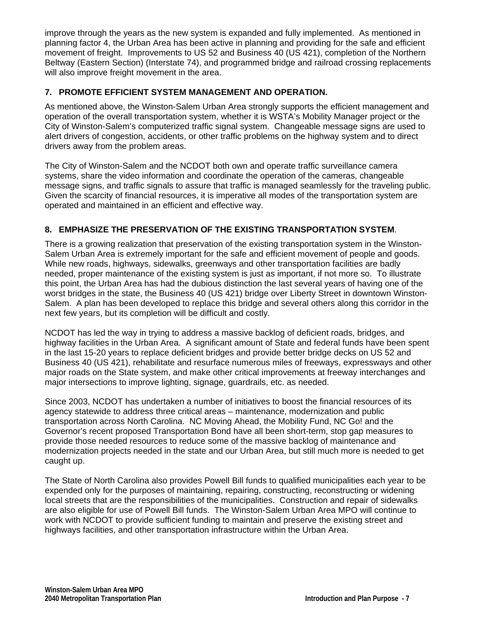improve through the years as the new system is expanded and fully implemented. As mentioned in planning factor 4, the Urban Area has been active in planning and providing for the safe and efficient movement of freight. Improvements to US 52 and Business 40 (US 421), completion of the Northern Beltway (Eastern Section) (Interstate 74), and programmed bridge and railroad crossing replacements will also improve freight movement in the area.

# **7. PROMOTE EFFICIENT SYSTEM MANAGEMENT AND OPERATION.**

As mentioned above, the Winston-Salem Urban Area strongly supports the efficient management and operation of the overall transportation system, whether it is WSTA's Mobility Manager project or the City of Winston-Salem's computerized traffic signal system. Changeable message signs are used to alert drivers of congestion, accidents, or other traffic problems on the highway system and to direct drivers away from the problem areas.

The City of Winston-Salem and the NCDOT both own and operate traffic surveillance camera systems, share the video information and coordinate the operation of the cameras, changeable message signs, and traffic signals to assure that traffic is managed seamlessly for the traveling public. Given the scarcity of financial resources, it is imperative all modes of the transportation system are operated and maintained in an efficient and effective way.

# **8. EMPHASIZE THE PRESERVATION OF THE EXISTING TRANSPORTATION SYSTEM**.

There is a growing realization that preservation of the existing transportation system in the Winston-Salem Urban Area is extremely important for the safe and efficient movement of people and goods. While new roads, highways, sidewalks, greenways and other transportation facilities are badly needed, proper maintenance of the existing system is just as important, if not more so. To illustrate this point, the Urban Area has had the dubious distinction the last several years of having one of the worst bridges in the state, the Business 40 (US 421) bridge over Liberty Street in downtown Winston-Salem. A plan has been developed to replace this bridge and several others along this corridor in the next few years, but its completion will be difficult and costly.

NCDOT has led the way in trying to address a massive backlog of deficient roads, bridges, and highway facilities in the Urban Area. A significant amount of State and federal funds have been spent in the last 15-20 years to replace deficient bridges and provide better bridge decks on US 52 and Business 40 (US 421), rehabilitate and resurface numerous miles of freeways, expressways and other major roads on the State system, and make other critical improvements at freeway interchanges and major intersections to improve lighting, signage, guardrails, etc. as needed.

Since 2003, NCDOT has undertaken a number of initiatives to boost the financial resources of its agency statewide to address three critical areas – maintenance, modernization and public transportation across North Carolina. NC Moving Ahead, the Mobility Fund, NC Go! and the Governor's recent proposed Transportation Bond have all been short-term, stop gap measures to provide those needed resources to reduce some of the massive backlog of maintenance and modernization projects needed in the state and our Urban Area, but still much more is needed to get caught up.

The State of North Carolina also provides Powell Bill funds to qualified municipalities each year to be expended only for the purposes of maintaining, repairing, constructing, reconstructing or widening local streets that are the responsibilities of the municipalities. Construction and repair of sidewalks are also eligible for use of Powell Bill funds. The Winston-Salem Urban Area MPO will continue to work with NCDOT to provide sufficient funding to maintain and preserve the existing street and highways facilities, and other transportation infrastructure within the Urban Area.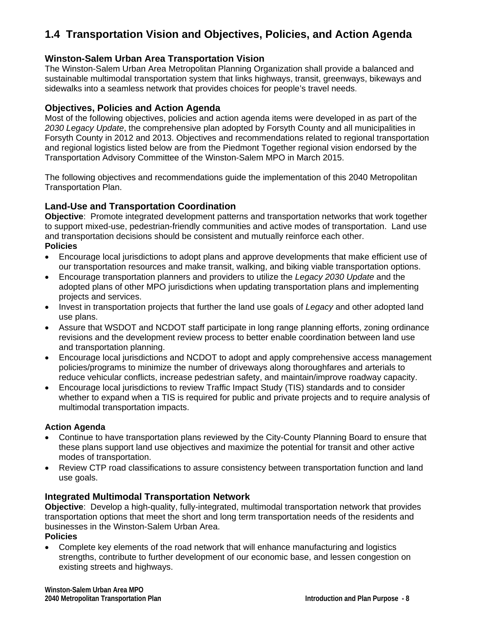# **1.4 Transportation Vision and Objectives, Policies, and Action Agenda**

# **Winston-Salem Urban Area Transportation Vision**

The Winston-Salem Urban Area Metropolitan Planning Organization shall provide a balanced and sustainable multimodal transportation system that links highways, transit, greenways, bikeways and sidewalks into a seamless network that provides choices for people's travel needs.

# **Objectives, Policies and Action Agenda**

Most of the following objectives, policies and action agenda items were developed in as part of the *2030 Legacy Update*, the comprehensive plan adopted by Forsyth County and all municipalities in Forsyth County in 2012 and 2013. Objectives and recommendations related to regional transportation and regional logistics listed below are from the Piedmont Together regional vision endorsed by the Transportation Advisory Committee of the Winston-Salem MPO in March 2015.

The following objectives and recommendations guide the implementation of this 2040 Metropolitan Transportation Plan.

# **Land-Use and Transportation Coordination**

**Objective**: Promote integrated development patterns and transportation networks that work together to support mixed-use, pedestrian-friendly communities and active modes of transportation. Land use and transportation decisions should be consistent and mutually reinforce each other. **Policies** 

- Encourage local jurisdictions to adopt plans and approve developments that make efficient use of our transportation resources and make transit, walking, and biking viable transportation options.
- Encourage transportation planners and providers to utilize the *Legacy 2030 Update* and the adopted plans of other MPO jurisdictions when updating transportation plans and implementing projects and services.
- Invest in transportation projects that further the land use goals of *Legacy* and other adopted land use plans.
- Assure that WSDOT and NCDOT staff participate in long range planning efforts, zoning ordinance revisions and the development review process to better enable coordination between land use and transportation planning.
- Encourage local jurisdictions and NCDOT to adopt and apply comprehensive access management policies/programs to minimize the number of driveways along thoroughfares and arterials to reduce vehicular conflicts, increase pedestrian safety, and maintain/improve roadway capacity.
- Encourage local jurisdictions to review Traffic Impact Study (TIS) standards and to consider whether to expand when a TIS is required for public and private projects and to require analysis of multimodal transportation impacts.

# **Action Agenda**

- Continue to have transportation plans reviewed by the City-County Planning Board to ensure that these plans support land use objectives and maximize the potential for transit and other active modes of transportation.
- Review CTP road classifications to assure consistency between transportation function and land use goals.

# **Integrated Multimodal Transportation Network**

**Objective**: Develop a high-quality, fully-integrated, multimodal transportation network that provides transportation options that meet the short and long term transportation needs of the residents and businesses in the Winston-Salem Urban Area.

#### **Policies**

 Complete key elements of the road network that will enhance manufacturing and logistics strengths, contribute to further development of our economic base, and lessen congestion on existing streets and highways.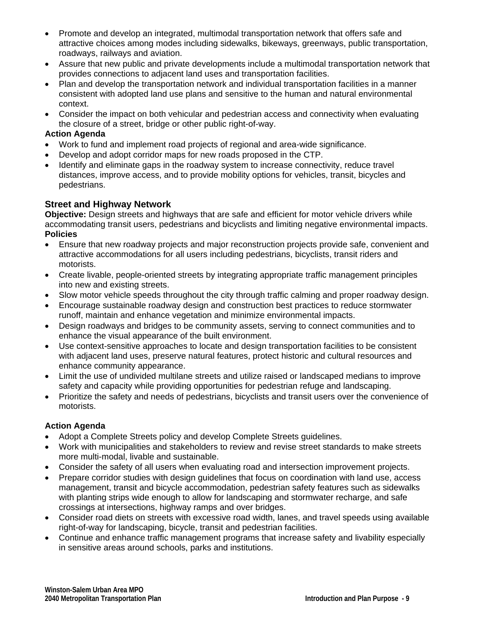- Promote and develop an integrated, multimodal transportation network that offers safe and attractive choices among modes including sidewalks, bikeways, greenways, public transportation, roadways, railways and aviation.
- Assure that new public and private developments include a multimodal transportation network that provides connections to adjacent land uses and transportation facilities.
- Plan and develop the transportation network and individual transportation facilities in a manner consistent with adopted land use plans and sensitive to the human and natural environmental context.
- Consider the impact on both vehicular and pedestrian access and connectivity when evaluating the closure of a street, bridge or other public right-of-way.

#### **Action Agenda**

- Work to fund and implement road projects of regional and area-wide significance.
- Develop and adopt corridor maps for new roads proposed in the CTP.
- Identify and eliminate gaps in the roadway system to increase connectivity, reduce travel distances, improve access, and to provide mobility options for vehicles, transit, bicycles and pedestrians.

# **Street and Highway Network**

**Objective:** Design streets and highways that are safe and efficient for motor vehicle drivers while accommodating transit users, pedestrians and bicyclists and limiting negative environmental impacts. **Policies** 

- Ensure that new roadway projects and major reconstruction projects provide safe, convenient and attractive accommodations for all users including pedestrians, bicyclists, transit riders and motorists.
- Create livable, people-oriented streets by integrating appropriate traffic management principles into new and existing streets.
- Slow motor vehicle speeds throughout the city through traffic calming and proper roadway design.
- Encourage sustainable roadway design and construction best practices to reduce stormwater runoff, maintain and enhance vegetation and minimize environmental impacts.
- Design roadways and bridges to be community assets, serving to connect communities and to enhance the visual appearance of the built environment.
- Use context-sensitive approaches to locate and design transportation facilities to be consistent with adjacent land uses, preserve natural features, protect historic and cultural resources and enhance community appearance.
- Limit the use of undivided multilane streets and utilize raised or landscaped medians to improve safety and capacity while providing opportunities for pedestrian refuge and landscaping.
- Prioritize the safety and needs of pedestrians, bicyclists and transit users over the convenience of motorists.

# **Action Agenda**

- Adopt a Complete Streets policy and develop Complete Streets guidelines.
- Work with municipalities and stakeholders to review and revise street standards to make streets more multi-modal, livable and sustainable.
- Consider the safety of all users when evaluating road and intersection improvement projects.
- Prepare corridor studies with design guidelines that focus on coordination with land use, access management, transit and bicycle accommodation, pedestrian safety features such as sidewalks with planting strips wide enough to allow for landscaping and stormwater recharge, and safe crossings at intersections, highway ramps and over bridges.
- Consider road diets on streets with excessive road width, lanes, and travel speeds using available right-of-way for landscaping, bicycle, transit and pedestrian facilities.
- Continue and enhance traffic management programs that increase safety and livability especially in sensitive areas around schools, parks and institutions.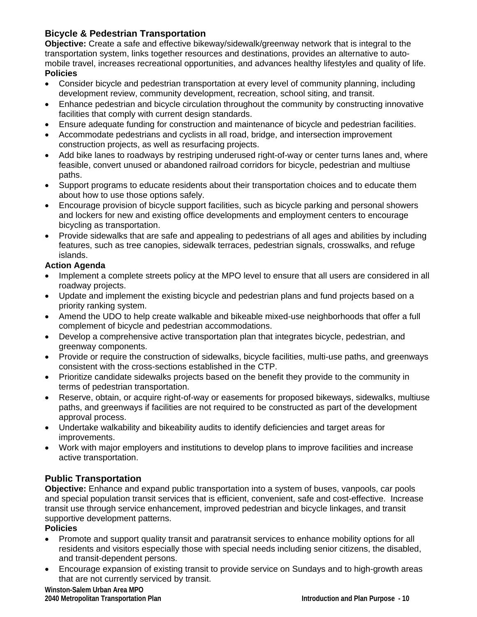# **Bicycle & Pedestrian Transportation**

**Objective:** Create a safe and effective bikeway/sidewalk/greenway network that is integral to the transportation system, links together resources and destinations, provides an alternative to automobile travel, increases recreational opportunities, and advances healthy lifestyles and quality of life. **Policies** 

- Consider bicycle and pedestrian transportation at every level of community planning, including development review, community development, recreation, school siting, and transit.
- Enhance pedestrian and bicycle circulation throughout the community by constructing innovative facilities that comply with current design standards.
- Ensure adequate funding for construction and maintenance of bicycle and pedestrian facilities.
- Accommodate pedestrians and cyclists in all road, bridge, and intersection improvement construction projects, as well as resurfacing projects.
- Add bike lanes to roadways by restriping underused right-of-way or center turns lanes and, where feasible, convert unused or abandoned railroad corridors for bicycle, pedestrian and multiuse paths.
- Support programs to educate residents about their transportation choices and to educate them about how to use those options safely.
- Encourage provision of bicycle support facilities, such as bicycle parking and personal showers and lockers for new and existing office developments and employment centers to encourage bicycling as transportation.
- Provide sidewalks that are safe and appealing to pedestrians of all ages and abilities by including features, such as tree canopies, sidewalk terraces, pedestrian signals, crosswalks, and refuge islands.

# **Action Agenda**

- Implement a complete streets policy at the MPO level to ensure that all users are considered in all roadway projects.
- Update and implement the existing bicycle and pedestrian plans and fund projects based on a priority ranking system.
- Amend the UDO to help create walkable and bikeable mixed-use neighborhoods that offer a full complement of bicycle and pedestrian accommodations.
- Develop a comprehensive active transportation plan that integrates bicycle, pedestrian, and greenway components.
- Provide or require the construction of sidewalks, bicycle facilities, multi-use paths, and greenways consistent with the cross-sections established in the CTP.
- Prioritize candidate sidewalks projects based on the benefit they provide to the community in terms of pedestrian transportation.
- Reserve, obtain, or acquire right-of-way or easements for proposed bikeways, sidewalks, multiuse paths, and greenways if facilities are not required to be constructed as part of the development approval process.
- Undertake walkability and bikeability audits to identify deficiencies and target areas for improvements.
- Work with major employers and institutions to develop plans to improve facilities and increase active transportation.

# **Public Transportation**

**Objective:** Enhance and expand public transportation into a system of buses, vanpools, car pools and special population transit services that is efficient, convenient, safe and cost-effective. Increase transit use through service enhancement, improved pedestrian and bicycle linkages, and transit supportive development patterns.

# **Policies**

- Promote and support quality transit and paratransit services to enhance mobility options for all residents and visitors especially those with special needs including senior citizens, the disabled, and transit-dependent persons.
- Encourage expansion of existing transit to provide service on Sundays and to high-growth areas that are not currently serviced by transit.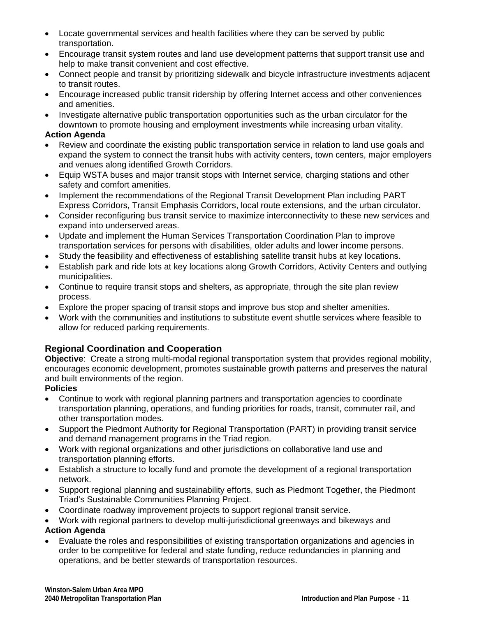- Locate governmental services and health facilities where they can be served by public transportation.
- Encourage transit system routes and land use development patterns that support transit use and help to make transit convenient and cost effective.
- Connect people and transit by prioritizing sidewalk and bicycle infrastructure investments adjacent to transit routes.
- Encourage increased public transit ridership by offering Internet access and other conveniences and amenities.
- Investigate alternative public transportation opportunities such as the urban circulator for the downtown to promote housing and employment investments while increasing urban vitality.

#### **Action Agenda**

- Review and coordinate the existing public transportation service in relation to land use goals and expand the system to connect the transit hubs with activity centers, town centers, major employers and venues along identified Growth Corridors.
- Equip WSTA buses and major transit stops with Internet service, charging stations and other safety and comfort amenities.
- Implement the recommendations of the Regional Transit Development Plan including PART Express Corridors, Transit Emphasis Corridors, local route extensions, and the urban circulator.
- Consider reconfiguring bus transit service to maximize interconnectivity to these new services and expand into underserved areas.
- Update and implement the Human Services Transportation Coordination Plan to improve transportation services for persons with disabilities, older adults and lower income persons.
- Study the feasibility and effectiveness of establishing satellite transit hubs at key locations.
- Establish park and ride lots at key locations along Growth Corridors, Activity Centers and outlying municipalities.
- Continue to require transit stops and shelters, as appropriate, through the site plan review process.
- Explore the proper spacing of transit stops and improve bus stop and shelter amenities.
- Work with the communities and institutions to substitute event shuttle services where feasible to allow for reduced parking requirements.

# **Regional Coordination and Cooperation**

**Objective**: Create a strong multi-modal regional transportation system that provides regional mobility, encourages economic development, promotes sustainable growth patterns and preserves the natural and built environments of the region.

#### **Policies**

- Continue to work with regional planning partners and transportation agencies to coordinate transportation planning, operations, and funding priorities for roads, transit, commuter rail, and other transportation modes.
- Support the Piedmont Authority for Regional Transportation (PART) in providing transit service and demand management programs in the Triad region.
- Work with regional organizations and other jurisdictions on collaborative land use and transportation planning efforts.
- Establish a structure to locally fund and promote the development of a regional transportation network.
- Support regional planning and sustainability efforts, such as Piedmont Together, the Piedmont Triad's Sustainable Communities Planning Project.
- Coordinate roadway improvement projects to support regional transit service.
- Work with regional partners to develop multi-jurisdictional greenways and bikeways and **Action Agenda**
- Evaluate the roles and responsibilities of existing transportation organizations and agencies in order to be competitive for federal and state funding, reduce redundancies in planning and operations, and be better stewards of transportation resources.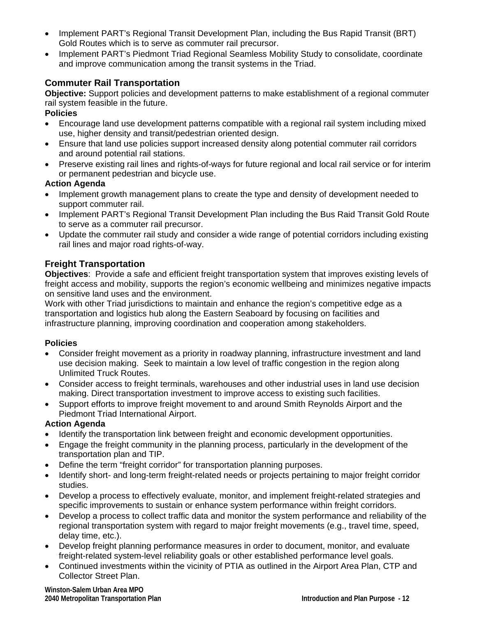- Implement PART's Regional Transit Development Plan, including the Bus Rapid Transit (BRT) Gold Routes which is to serve as commuter rail precursor.
- Implement PART's Piedmont Triad Regional Seamless Mobility Study to consolidate, coordinate and improve communication among the transit systems in the Triad.

# **Commuter Rail Transportation**

**Objective:** Support policies and development patterns to make establishment of a regional commuter rail system feasible in the future.

**Policies** 

- Encourage land use development patterns compatible with a regional rail system including mixed use, higher density and transit/pedestrian oriented design.
- Ensure that land use policies support increased density along potential commuter rail corridors and around potential rail stations.
- Preserve existing rail lines and rights-of-ways for future regional and local rail service or for interim or permanent pedestrian and bicycle use.

# **Action Agenda**

- Implement growth management plans to create the type and density of development needed to support commuter rail.
- Implement PART's Regional Transit Development Plan including the Bus Raid Transit Gold Route to serve as a commuter rail precursor.
- Update the commuter rail study and consider a wide range of potential corridors including existing rail lines and major road rights-of-way.

# **Freight Transportation**

**Objectives**: Provide a safe and efficient freight transportation system that improves existing levels of freight access and mobility, supports the region's economic wellbeing and minimizes negative impacts on sensitive land uses and the environment.

Work with other Triad jurisdictions to maintain and enhance the region's competitive edge as a transportation and logistics hub along the Eastern Seaboard by focusing on facilities and infrastructure planning, improving coordination and cooperation among stakeholders.

# **Policies**

- Consider freight movement as a priority in roadway planning, infrastructure investment and land use decision making. Seek to maintain a low level of traffic congestion in the region along Unlimited Truck Routes.
- Consider access to freight terminals, warehouses and other industrial uses in land use decision making. Direct transportation investment to improve access to existing such facilities.
- Support efforts to improve freight movement to and around Smith Reynolds Airport and the Piedmont Triad International Airport.

# **Action Agenda**

- Identify the transportation link between freight and economic development opportunities.
- Engage the freight community in the planning process, particularly in the development of the transportation plan and TIP.
- Define the term "freight corridor" for transportation planning purposes.
- Identify short- and long-term freight-related needs or projects pertaining to major freight corridor studies.
- Develop a process to effectively evaluate, monitor, and implement freight-related strategies and specific improvements to sustain or enhance system performance within freight corridors.
- Develop a process to collect traffic data and monitor the system performance and reliability of the regional transportation system with regard to major freight movements (e.g., travel time, speed, delay time, etc.).
- Develop freight planning performance measures in order to document, monitor, and evaluate freight-related system-level reliability goals or other established performance level goals.
- Continued investments within the vicinity of PTIA as outlined in the Airport Area Plan, CTP and Collector Street Plan.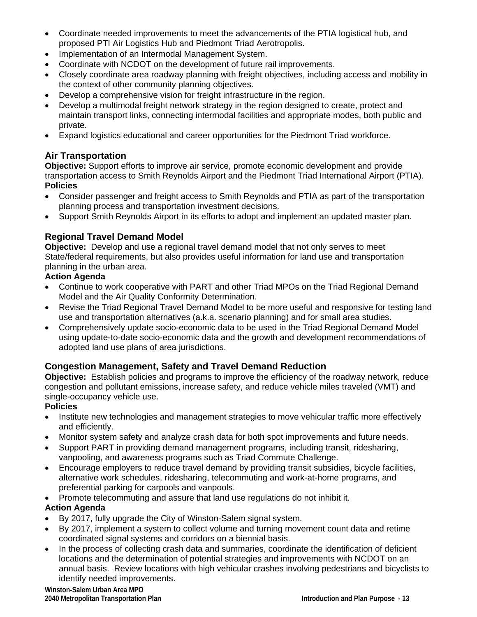- Coordinate needed improvements to meet the advancements of the PTIA logistical hub, and proposed PTI Air Logistics Hub and Piedmont Triad Aerotropolis.
- Implementation of an Intermodal Management System.
- Coordinate with NCDOT on the development of future rail improvements.
- Closely coordinate area roadway planning with freight objectives, including access and mobility in the context of other community planning objectives.
- Develop a comprehensive vision for freight infrastructure in the region.
- Develop a multimodal freight network strategy in the region designed to create, protect and maintain transport links, connecting intermodal facilities and appropriate modes, both public and private.
- Expand logistics educational and career opportunities for the Piedmont Triad workforce.

# **Air Transportation**

**Objective:** Support efforts to improve air service, promote economic development and provide transportation access to Smith Reynolds Airport and the Piedmont Triad International Airport (PTIA). **Policies** 

- Consider passenger and freight access to Smith Reynolds and PTIA as part of the transportation planning process and transportation investment decisions.
- Support Smith Reynolds Airport in its efforts to adopt and implement an updated master plan.

# **Regional Travel Demand Model**

**Objective:** Develop and use a regional travel demand model that not only serves to meet State/federal requirements, but also provides useful information for land use and transportation planning in the urban area.

# **Action Agenda**

- Continue to work cooperative with PART and other Triad MPOs on the Triad Regional Demand Model and the Air Quality Conformity Determination.
- Revise the Triad Regional Travel Demand Model to be more useful and responsive for testing land use and transportation alternatives (a.k.a. scenario planning) and for small area studies.
- Comprehensively update socio-economic data to be used in the Triad Regional Demand Model using update-to-date socio-economic data and the growth and development recommendations of adopted land use plans of area jurisdictions.

# **Congestion Management, Safety and Travel Demand Reduction**

**Objective:** Establish policies and programs to improve the efficiency of the roadway network, reduce congestion and pollutant emissions, increase safety, and reduce vehicle miles traveled (VMT) and single-occupancy vehicle use.

# **Policies**

- Institute new technologies and management strategies to move vehicular traffic more effectively and efficiently.
- Monitor system safety and analyze crash data for both spot improvements and future needs.
- Support PART in providing demand management programs, including transit, ridesharing, vanpooling, and awareness programs such as Triad Commute Challenge.
- Encourage employers to reduce travel demand by providing transit subsidies, bicycle facilities, alternative work schedules, ridesharing, telecommuting and work-at-home programs, and preferential parking for carpools and vanpools.
- Promote telecommuting and assure that land use regulations do not inhibit it.

# **Action Agenda**

- By 2017, fully upgrade the City of Winston-Salem signal system.
- By 2017, implement a system to collect volume and turning movement count data and retime coordinated signal systems and corridors on a biennial basis.
- In the process of collecting crash data and summaries, coordinate the identification of deficient locations and the determination of potential strategies and improvements with NCDOT on an annual basis. Review locations with high vehicular crashes involving pedestrians and bicyclists to identify needed improvements.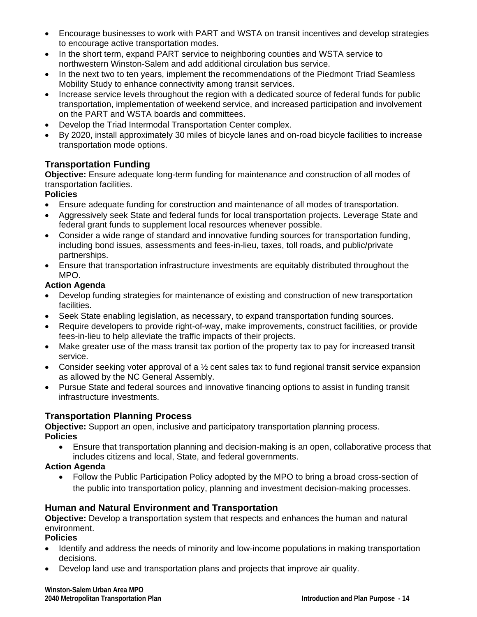- Encourage businesses to work with PART and WSTA on transit incentives and develop strategies to encourage active transportation modes.
- In the short term, expand PART service to neighboring counties and WSTA service to northwestern Winston-Salem and add additional circulation bus service.
- In the next two to ten years, implement the recommendations of the Piedmont Triad Seamless Mobility Study to enhance connectivity among transit services.
- Increase service levels throughout the region with a dedicated source of federal funds for public transportation, implementation of weekend service, and increased participation and involvement on the PART and WSTA boards and committees.
- Develop the Triad Intermodal Transportation Center complex.
- By 2020, install approximately 30 miles of bicycle lanes and on-road bicycle facilities to increase transportation mode options.

# **Transportation Funding**

**Objective:** Ensure adequate long-term funding for maintenance and construction of all modes of transportation facilities.

# **Policies**

- Ensure adequate funding for construction and maintenance of all modes of transportation.
- Aggressively seek State and federal funds for local transportation projects. Leverage State and federal grant funds to supplement local resources whenever possible.
- Consider a wide range of standard and innovative funding sources for transportation funding, including bond issues, assessments and fees-in-lieu, taxes, toll roads, and public/private partnerships.
- Ensure that transportation infrastructure investments are equitably distributed throughout the MPO.

# **Action Agenda**

- Develop funding strategies for maintenance of existing and construction of new transportation facilities.
- Seek State enabling legislation, as necessary, to expand transportation funding sources.
- Require developers to provide right-of-way, make improvements, construct facilities, or provide fees-in-lieu to help alleviate the traffic impacts of their projects.
- Make greater use of the mass transit tax portion of the property tax to pay for increased transit service.
- Consider seeking voter approval of a  $\frac{1}{2}$  cent sales tax to fund regional transit service expansion as allowed by the NC General Assembly.
- Pursue State and federal sources and innovative financing options to assist in funding transit infrastructure investments.

# **Transportation Planning Process**

**Objective:** Support an open, inclusive and participatory transportation planning process. **Policies** 

 Ensure that transportation planning and decision-making is an open, collaborative process that includes citizens and local, State, and federal governments.

# **Action Agenda**

• Follow the Public Participation Policy adopted by the MPO to bring a broad cross-section of the public into transportation policy, planning and investment decision-making processes.

# **Human and Natural Environment and Transportation**

**Objective:** Develop a transportation system that respects and enhances the human and natural environment.

**Policies** 

- Identify and address the needs of minority and low-income populations in making transportation decisions.
- Develop land use and transportation plans and projects that improve air quality.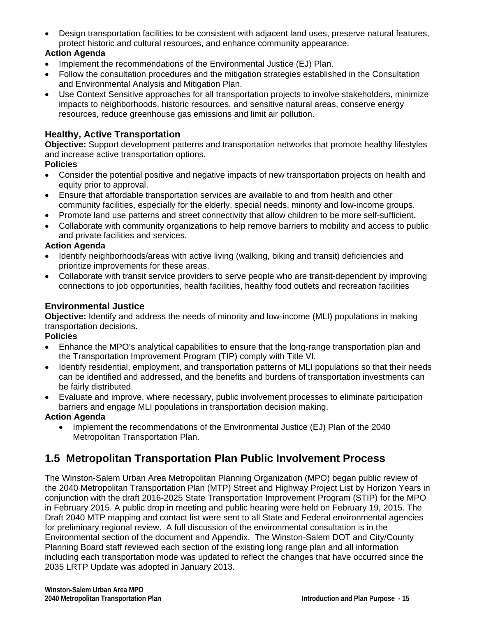Design transportation facilities to be consistent with adjacent land uses, preserve natural features, protect historic and cultural resources, and enhance community appearance.

# **Action Agenda**

- Implement the recommendations of the Environmental Justice (EJ) Plan.
- Follow the consultation procedures and the mitigation strategies established in the Consultation and Environmental Analysis and Mitigation Plan.
- Use Context Sensitive approaches for all transportation projects to involve stakeholders, minimize impacts to neighborhoods, historic resources, and sensitive natural areas, conserve energy resources, reduce greenhouse gas emissions and limit air pollution.

# **Healthy, Active Transportation**

**Objective:** Support development patterns and transportation networks that promote healthy lifestyles and increase active transportation options.

#### **Policies**

- Consider the potential positive and negative impacts of new transportation projects on health and equity prior to approval.
- Ensure that affordable transportation services are available to and from health and other community facilities, especially for the elderly, special needs, minority and low-income groups.
- Promote land use patterns and street connectivity that allow children to be more self-sufficient.
- Collaborate with community organizations to help remove barriers to mobility and access to public and private facilities and services.

#### **Action Agenda**

- Identify neighborhoods/areas with active living (walking, biking and transit) deficiencies and prioritize improvements for these areas.
- Collaborate with transit service providers to serve people who are transit-dependent by improving connections to job opportunities, health facilities, healthy food outlets and recreation facilities

# **Environmental Justice**

**Objective:** Identify and address the needs of minority and low-income (MLI) populations in making transportation decisions.

#### **Policies**

- Enhance the MPO's analytical capabilities to ensure that the long-range transportation plan and the Transportation Improvement Program (TIP) comply with Title VI.
- Identify residential, employment, and transportation patterns of MLI populations so that their needs can be identified and addressed, and the benefits and burdens of transportation investments can be fairly distributed.
- Evaluate and improve, where necessary, public involvement processes to eliminate participation barriers and engage MLI populations in transportation decision making.

# **Action Agenda**

• Implement the recommendations of the Environmental Justice (EJ) Plan of the 2040 Metropolitan Transportation Plan.

# **1.5 Metropolitan Transportation Plan Public Involvement Process**

The Winston-Salem Urban Area Metropolitan Planning Organization (MPO) began public review of the 2040 Metropolitan Transportation Plan (MTP) Street and Highway Project List by Horizon Years in conjunction with the draft 2016-2025 State Transportation Improvement Program (STIP) for the MPO in February 2015. A public drop in meeting and public hearing were held on February 19, 2015. The Draft 2040 MTP mapping and contact list were sent to all State and Federal environmental agencies for preliminary regional review. A full discussion of the environmental consultation is in the Environmental section of the document and Appendix. The Winston-Salem DOT and City/County Planning Board staff reviewed each section of the existing long range plan and all information including each transportation mode was updated to reflect the changes that have occurred since the 2035 LRTP Update was adopted in January 2013.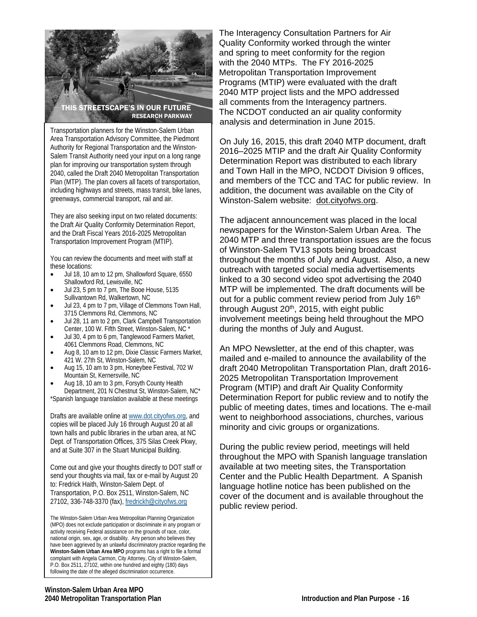

Transportation planners for the Winston-Salem Urban Area Transportation Advisory Committee, the Piedmont Authority for Regional Transportation and the Winston-Salem Transit Authority need your input on a long range plan for improving our transportation system through 2040, called the Draft 2040 Metropolitan Transportation Plan (MTP). The plan covers all facets of transportation, including highways and streets, mass transit, bike lanes, greenways, commercial transport, rail and air.

They are also seeking input on two related documents: the Draft Air Quality Conformity Determination Report, and the Draft Fiscal Years 2016-2025 Metropolitan Transportation Improvement Program (MTIP).

You can review the documents and meet with staff at these locations:

- Jul 18, 10 am to 12 pm, Shallowford Square, 6550 Shallowford Rd, Lewisville, NC
- Jul 23, 5 pm to 7 pm, The Booe House, 5135 Sullivantown Rd, Walkertown, NC
- Jul 23, 4 pm to 7 pm, Village of Clemmons Town Hall, 3715 Clemmons Rd, Clemmons, NC
- Jul 28, 11 am to 2 pm, Clark Campbell Transportation Center, 100 W. Fifth Street, Winston-Salem, NC \*
- Jul 30, 4 pm to 6 pm, Tanglewood Farmers Market, 4061 Clemmons Road, Clemmons, NC
- Aug 8, 10 am to 12 pm, Dixie Classic Farmers Market, 421 W. 27th St, Winston-Salem, NC
- Aug 15, 10 am to 3 pm, Honeybee Festival, 702 W Mountain St, Kernersville, NC
- Aug 18, 10 am to 3 pm, Forsyth County Health Department, 201 N Chestnut St, Winston-Salem, NC\*
- \*Spanish language translation available at these meetings

Drafts are available online at www.dot.cityofws.org, and copies will be placed July 16 through August 20 at all town halls and public libraries in the urban area, at NC Dept. of Transportation Offices, 375 Silas Creek Pkwy, and at Suite 307 in the Stuart Municipal Building.

Come out and give your thoughts directly to DOT staff or send your thoughts via mail, fax or e-mail by August 20 to: Fredrick Haith, Winston-Salem Dept. of Transportation, P.O. Box 2511, Winston-Salem, NC 27102, 336-748-3370 (fax), fredrickh@cityofws.org

The Winston-Salem Urban Area Metropolitan Planning Organization (MPO) does not exclude participation or discriminate in any program or activity receiving Federal assistance on the grounds of race, color, national origin, sex, age, or disability. Any person who believes they have been aggrieved by an unlawful discriminatory practice regarding the **Winston-Salem Urban Area MPO** programs has a right to file a formal complaint with Angela Carmon, City Attorney, City of Winston-Salem, P.O. Box 2511, 27102, within one hundred and eighty (180) days following the date of the alleged discrimination occurrence.

 The Interagency Consultation Partners for Air Quality Conformity worked through the winter and spring to meet conformity for the region with the 2040 MTPs. The FY 2016-2025 Metropolitan Transportation Improvement Programs (MTIP) were evaluated with the draft 2040 MTP project lists and the MPO addressed all comments from the Interagency partners. The NCDOT conducted an air quality conformity analysis and determination in June 2015.

On July 16, 2015, this draft 2040 MTP document, draft 2016–2025 MTIP and the draft Air Quality Conformity Determination Report was distributed to each library and Town Hall in the MPO, NCDOT Division 9 offices, and members of the TCC and TAC for public review. In addition, the document was available on the City of Winston-Salem website: dot.cityofws.org.

The adjacent announcement was placed in the local newspapers for the Winston-Salem Urban Area. The 2040 MTP and three transportation issues are the focus of Winston-Salem TV13 spots being broadcast throughout the months of July and August. Also, a new outreach with targeted social media advertisements linked to a 30 second video spot advertising the 2040 MTP will be implemented. The draft documents will be out for a public comment review period from July 16<sup>th</sup> through August  $20<sup>th</sup>$ , 2015, with eight public involvement meetings being held throughout the MPO during the months of July and August.

An MPO Newsletter, at the end of this chapter, was mailed and e-mailed to announce the availability of the draft 2040 Metropolitan Transportation Plan, draft 2016- 2025 Metropolitan Transportation Improvement Program (MTIP) and draft Air Quality Conformity Determination Report for public review and to notify the public of meeting dates, times and locations. The e-mail went to neighborhood associations, churches, various minority and civic groups or organizations.

During the public review period, meetings will held throughout the MPO with Spanish language translation available at two meeting sites, the Transportation Center and the Public Health Department. A Spanish language hotline notice has been published on the cover of the document and is available throughout the public review period.